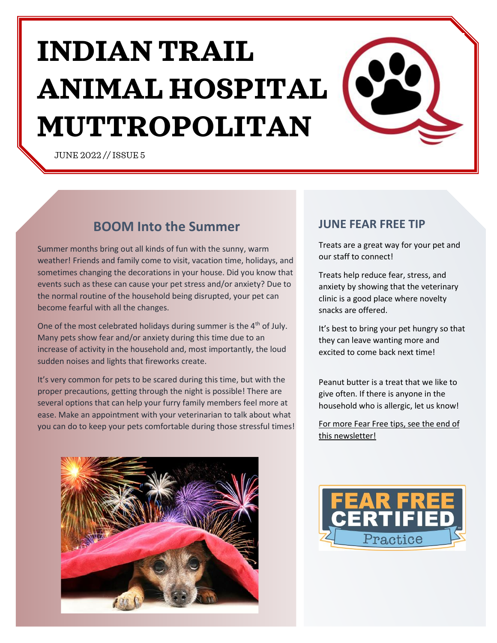# **INDIAN TRAIL ANIMAL HOSPITAL MUTTROPOLITAN**

JUNE 2022 // ISSUE 5

### **BOOM Into the Summer**

Summer months bring out all kinds of fun with the sunny, warm weather! Friends and family come to visit, vacation time, holidays, and sometimes changing the decorations in your house. Did you know that events such as these can cause your pet stress and/or anxiety? Due to the normal routine of the household being disrupted, your pet can become fearful with all the changes.

One of the most celebrated holidays during summer is the 4<sup>th</sup> of July. Many pets show fear and/or anxiety during this time due to an increase of activity in the household and, most importantly, the loud sudden noises and lights that fireworks create.

It's very common for pets to be scared during this time, but with the proper precautions, getting through the night is possible! There are several options that can help your furry family members feel more at ease. Make an appointment with your veterinarian to talk about what you can do to keep your pets comfortable during those stressful times!



### **JUNE FEAR FREE TIP**

Treats are a great way for your pet and our staff to connect!

Treats help reduce fear, stress, and anxiety by showing that the veterinary clinic is a good place where novelty snacks are offered.

It's best to bring your pet hungry so that they can leave wanting more and excited to come back next time!

Peanut butter is a treat that we like to give often. If there is anyone in the household who is allergic, let us know!

For more Fear Free tips, see the end of this newsletter!

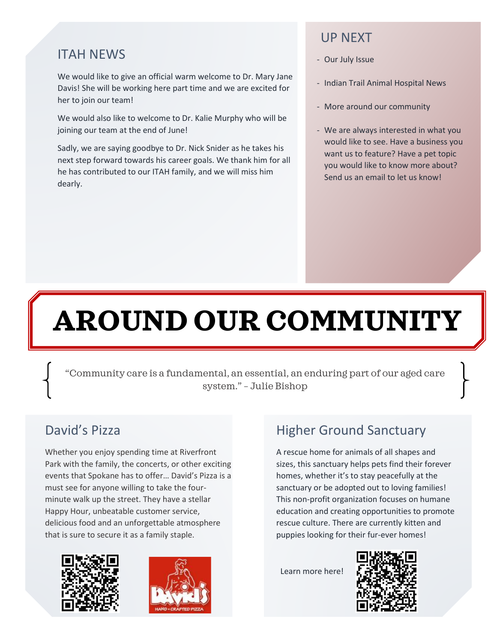### ITAH NEWS

We would like to give an official warm welcome to Dr. Mary Jane Davis! She will be working here part time and we are excited for her to join our team!

We would also like to welcome to Dr. Kalie Murphy who will be joining our team at the end of June!

Sadly, we are saying goodbye to Dr. Nick Snider as he takes his next step forward towards his career goals. We thank him for all he has contributed to our ITAH family, and we will miss him dearly.

### UP NEXT

- Our July Issue
- Indian Trail Animal Hospital News
- More around our community
- We are always interested in what you would like to see. Have a business you want us to feature? Have a pet topic you would like to know more about? Send us an email to let us know!

## **AROUND OUR COMMUNITY**

"Community care is a fundamental, an essential, an enduring part of our aged care system." – Julie Bishop

### David's Pizza

Whether you enjoy spending time at Riverfront Park with the family, the concerts, or other exciting events that Spokane has to offer… David's Pizza is a must see for anyone willing to take the fourminute walk up the street. They have a stellar Happy Hour, unbeatable customer service, delicious food and an unforgettable atmosphere that is sure to secure it as a family staple.





## Higher Ground Sanctuary

A rescue home for animals of all shapes and sizes, this sanctuary helps pets find their forever homes, whether it's to stay peacefully at the sanctuary or be adopted out to loving families! This non-profit organization focuses on humane education and creating opportunities to promote rescue culture. There are currently kitten and puppies looking for their fur-ever homes!

Learn more here!